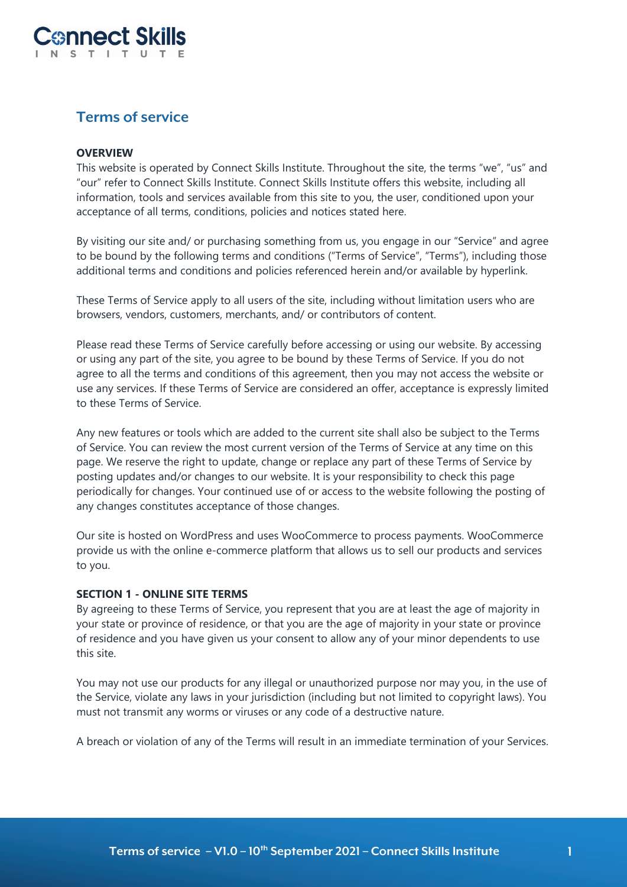

# **Terms of service**

# **OVERVIEW**

This website is operated by Connect Skills Institute. Throughout the site, the terms "we", "us" and "our" refer to Connect Skills Institute. Connect Skills Institute offers this website, including all information, tools and services available from this site to you, the user, conditioned upon your acceptance of all terms, conditions, policies and notices stated here.

By visiting our site and/ or purchasing something from us, you engage in our "Service" and agree to be bound by the following terms and conditions ("Terms of Service", "Terms"), including those additional terms and conditions and policies referenced herein and/or available by hyperlink.

These Terms of Service apply to all users of the site, including without limitation users who are browsers, vendors, customers, merchants, and/ or contributors of content.

Please read these Terms of Service carefully before accessing or using our website. By accessing or using any part of the site, you agree to be bound by these Terms of Service. If you do not agree to all the terms and conditions of this agreement, then you may not access the website or use any services. If these Terms of Service are considered an offer, acceptance is expressly limited to these Terms of Service.

Any new features or tools which are added to the current site shall also be subject to the Terms of Service. You can review the most current version of the Terms of Service at any time on this page. We reserve the right to update, change or replace any part of these Terms of Service by posting updates and/or changes to our website. It is your responsibility to check this page periodically for changes. Your continued use of or access to the website following the posting of any changes constitutes acceptance of those changes.

Our site is hosted on WordPress and uses WooCommerce to process payments. WooCommerce provide us with the online e-commerce platform that allows us to sell our products and services to you.

## **SECTION 1 - ONLINE SITE TERMS**

By agreeing to these Terms of Service, you represent that you are at least the age of majority in your state or province of residence, or that you are the age of majority in your state or province of residence and you have given us your consent to allow any of your minor dependents to use this site.

You may not use our products for any illegal or unauthorized purpose nor may you, in the use of the Service, violate any laws in your jurisdiction (including but not limited to copyright laws). You must not transmit any worms or viruses or any code of a destructive nature.

A breach or violation of any of the Terms will result in an immediate termination of your Services.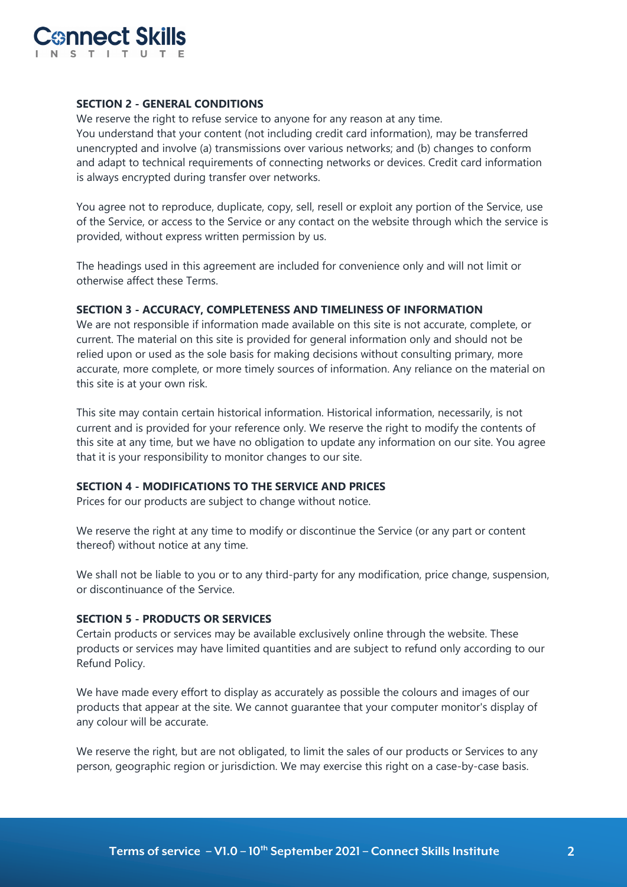

## **SECTION 2 - GENERAL CONDITIONS**

We reserve the right to refuse service to anyone for any reason at any time. You understand that your content (not including credit card information), may be transferred unencrypted and involve (a) transmissions over various networks; and (b) changes to conform and adapt to technical requirements of connecting networks or devices. Credit card information is always encrypted during transfer over networks.

You agree not to reproduce, duplicate, copy, sell, resell or exploit any portion of the Service, use of the Service, or access to the Service or any contact on the website through which the service is provided, without express written permission by us.

The headings used in this agreement are included for convenience only and will not limit or otherwise affect these Terms.

# **SECTION 3 - ACCURACY, COMPLETENESS AND TIMELINESS OF INFORMATION**

We are not responsible if information made available on this site is not accurate, complete, or current. The material on this site is provided for general information only and should not be relied upon or used as the sole basis for making decisions without consulting primary, more accurate, more complete, or more timely sources of information. Any reliance on the material on this site is at your own risk.

This site may contain certain historical information. Historical information, necessarily, is not current and is provided for your reference only. We reserve the right to modify the contents of this site at any time, but we have no obligation to update any information on our site. You agree that it is your responsibility to monitor changes to our site.

## **SECTION 4 - MODIFICATIONS TO THE SERVICE AND PRICES**

Prices for our products are subject to change without notice.

We reserve the right at any time to modify or discontinue the Service (or any part or content thereof) without notice at any time.

We shall not be liable to you or to any third-party for any modification, price change, suspension, or discontinuance of the Service.

# **SECTION 5 - PRODUCTS OR SERVICES**

Certain products or services may be available exclusively online through the website. These products or services may have limited quantities and are subject to refund only according to our Refund Policy.

We have made every effort to display as accurately as possible the colours and images of our products that appear at the site. We cannot guarantee that your computer monitor's display of any colour will be accurate.

We reserve the right, but are not obligated, to limit the sales of our products or Services to any person, geographic region or jurisdiction. We may exercise this right on a case-by-case basis.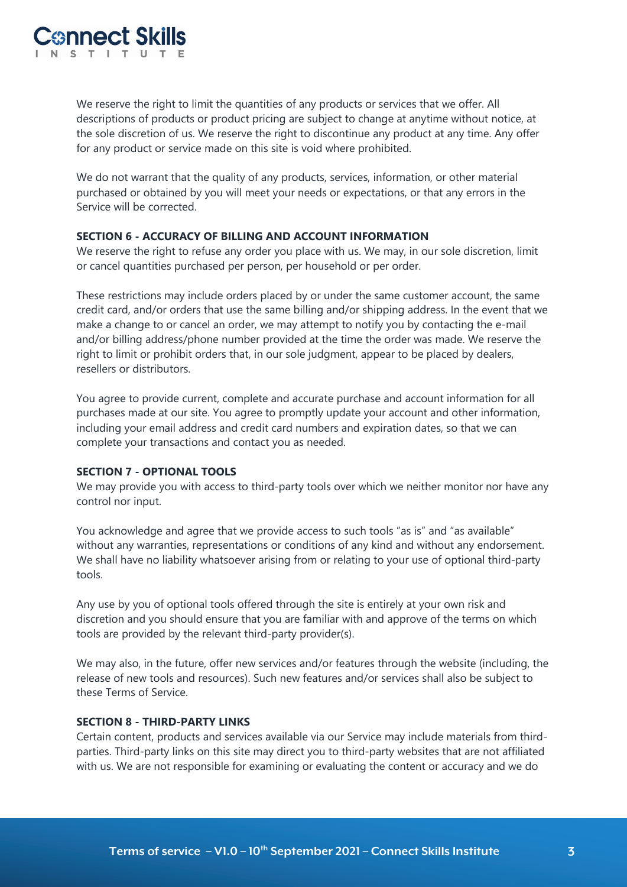

We reserve the right to limit the quantities of any products or services that we offer. All descriptions of products or product pricing are subject to change at anytime without notice, at the sole discretion of us. We reserve the right to discontinue any product at any time. Any offer for any product or service made on this site is void where prohibited.

We do not warrant that the quality of any products, services, information, or other material purchased or obtained by you will meet your needs or expectations, or that any errors in the Service will be corrected.

# **SECTION 6 - ACCURACY OF BILLING AND ACCOUNT INFORMATION**

We reserve the right to refuse any order you place with us. We may, in our sole discretion, limit or cancel quantities purchased per person, per household or per order.

These restrictions may include orders placed by or under the same customer account, the same credit card, and/or orders that use the same billing and/or shipping address. In the event that we make a change to or cancel an order, we may attempt to notify you by contacting the e-mail and/or billing address/phone number provided at the time the order was made. We reserve the right to limit or prohibit orders that, in our sole judgment, appear to be placed by dealers, resellers or distributors.

You agree to provide current, complete and accurate purchase and account information for all purchases made at our site. You agree to promptly update your account and other information, including your email address and credit card numbers and expiration dates, so that we can complete your transactions and contact you as needed.

## **SECTION 7 - OPTIONAL TOOLS**

We may provide you with access to third-party tools over which we neither monitor nor have any control nor input.

You acknowledge and agree that we provide access to such tools "as is" and "as available" without any warranties, representations or conditions of any kind and without any endorsement. We shall have no liability whatsoever arising from or relating to your use of optional third-party tools.

Any use by you of optional tools offered through the site is entirely at your own risk and discretion and you should ensure that you are familiar with and approve of the terms on which tools are provided by the relevant third-party provider(s).

We may also, in the future, offer new services and/or features through the website (including, the release of new tools and resources). Such new features and/or services shall also be subject to these Terms of Service.

# **SECTION 8 - THIRD-PARTY LINKS**

Certain content, products and services available via our Service may include materials from thirdparties. Third-party links on this site may direct you to third-party websites that are not affiliated with us. We are not responsible for examining or evaluating the content or accuracy and we do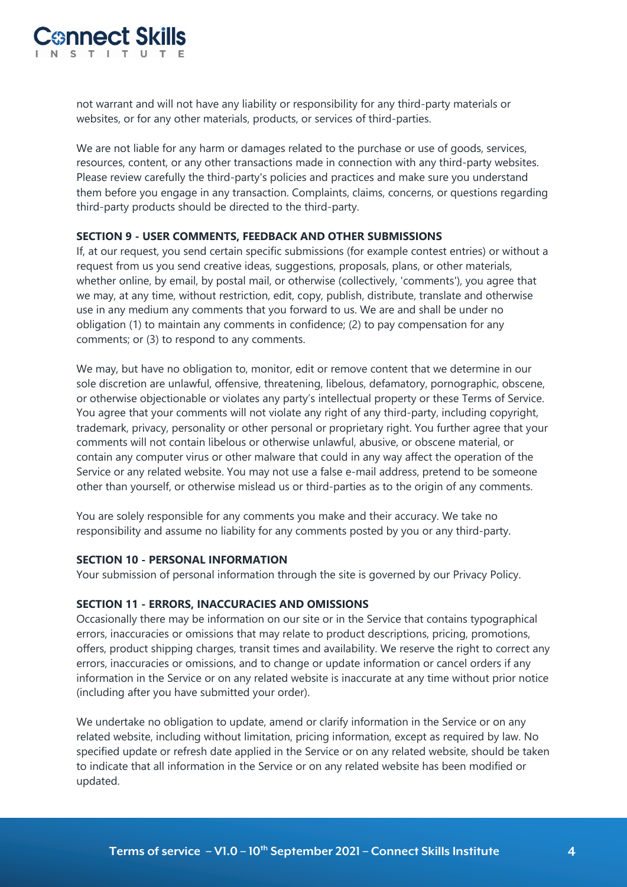

not warrant and will not have any liability or responsibility for any third-party materials or websites, or for any other materials, products, or services of third-parties.

We are not liable for any harm or damages related to the purchase or use of goods, services, resources, content, or any other transactions made in connection with any third-party websites. Please review carefully the third-party's policies and practices and make sure you understand them before you engage in any transaction. Complaints, claims, concerns, or questions regarding third-party products should be directed to the third-party.

#### **SECTION 9 - USER COMMENTS, FEEDBACK AND OTHER SUBMISSIONS**

If, at our request, you send certain specific submissions (for example contest entries) or without a request from us you send creative ideas, suggestions, proposals, plans, or other materials, whether online, by email, by postal mail, or otherwise (collectively, 'comments'), you agree that we may, at any time, without restriction, edit, copy, publish, distribute, translate and otherwise use in any medium any comments that you forward to us. We are and shall be under no obligation (1) to maintain any comments in confidence; (2) to pay compensation for any comments; or (3) to respond to any comments.

We may, but have no obligation to, monitor, edit or remove content that we determine in our sole discretion are unlawful, offensive, threatening, libelous, defamatory, pornographic, obscene, or otherwise objectionable or violates any party's intellectual property or these Terms of Service. You agree that your comments will not violate any right of any third-party, including copyright, trademark, privacy, personality or other personal or proprietary right. You further agree that your comments will not contain libelous or otherwise unlawful, abusive, or obscene material, or contain any computer virus or other malware that could in any way affect the operation of the Service or any related website. You may not use a false e-mail address, pretend to be someone other than yourself, or otherwise mislead us or third-parties as to the origin of any comments.

You are solely responsible for any comments you make and their accuracy. We take no responsibility and assume no liability for any comments posted by you or any third-party.

# **SECTION 10 - PERSONAL INFORMATION**

Your submission of personal information through the site is governed by our Privacy Policy.

#### **SECTION 11 - ERRORS, INACCURACIES AND OMISSIONS**

Occasionally there may be information on our site or in the Service that contains typographical errors, inaccuracies or omissions that may relate to product descriptions, pricing, promotions, offers, product shipping charges, transit times and availability. We reserve the right to correct any errors, inaccuracies or omissions, and to change or update information or cancel orders if any information in the Service or on any related website is inaccurate at any time without prior notice (including after you have submitted your order).

We undertake no obligation to update, amend or clarify information in the Service or on any related website, including without limitation, pricing information, except as required by law. No specified update or refresh date applied in the Service or on any related website, should be taken to indicate that all information in the Service or on any related website has been modified or updated.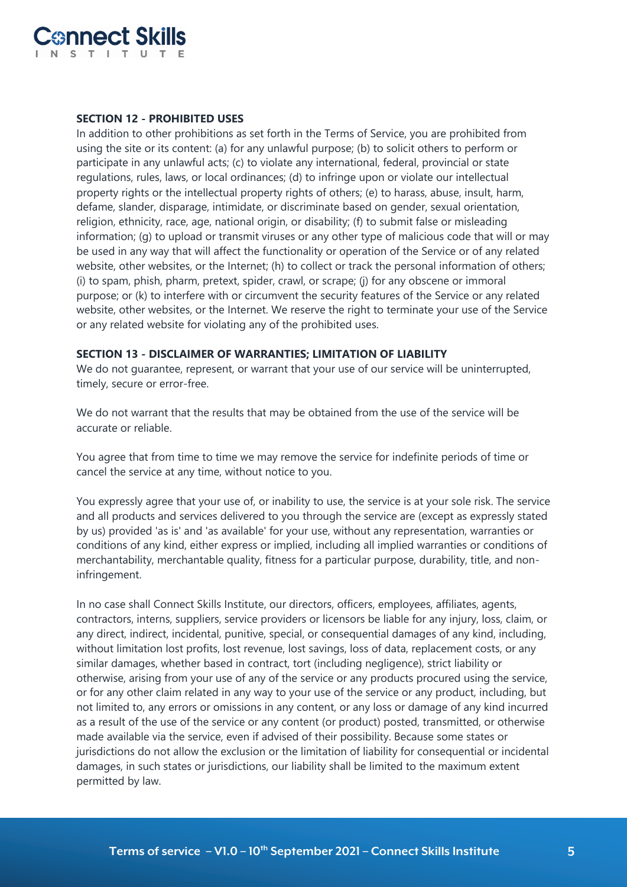

#### **SECTION 12 - PROHIBITED USES**

In addition to other prohibitions as set forth in the Terms of Service, you are prohibited from using the site or its content: (a) for any unlawful purpose; (b) to solicit others to perform or participate in any unlawful acts; (c) to violate any international, federal, provincial or state regulations, rules, laws, or local ordinances; (d) to infringe upon or violate our intellectual property rights or the intellectual property rights of others; (e) to harass, abuse, insult, harm, defame, slander, disparage, intimidate, or discriminate based on gender, sexual orientation, religion, ethnicity, race, age, national origin, or disability; (f) to submit false or misleading information; (g) to upload or transmit viruses or any other type of malicious code that will or may be used in any way that will affect the functionality or operation of the Service or of any related website, other websites, or the Internet; (h) to collect or track the personal information of others; (i) to spam, phish, pharm, pretext, spider, crawl, or scrape; (j) for any obscene or immoral purpose; or (k) to interfere with or circumvent the security features of the Service or any related website, other websites, or the Internet. We reserve the right to terminate your use of the Service or any related website for violating any of the prohibited uses.

## **SECTION 13 - DISCLAIMER OF WARRANTIES; LIMITATION OF LIABILITY**

We do not guarantee, represent, or warrant that your use of our service will be uninterrupted, timely, secure or error-free.

We do not warrant that the results that may be obtained from the use of the service will be accurate or reliable.

You agree that from time to time we may remove the service for indefinite periods of time or cancel the service at any time, without notice to you.

You expressly agree that your use of, or inability to use, the service is at your sole risk. The service and all products and services delivered to you through the service are (except as expressly stated by us) provided 'as is' and 'as available' for your use, without any representation, warranties or conditions of any kind, either express or implied, including all implied warranties or conditions of merchantability, merchantable quality, fitness for a particular purpose, durability, title, and noninfringement.

In no case shall Connect Skills Institute, our directors, officers, employees, affiliates, agents, contractors, interns, suppliers, service providers or licensors be liable for any injury, loss, claim, or any direct, indirect, incidental, punitive, special, or consequential damages of any kind, including, without limitation lost profits, lost revenue, lost savings, loss of data, replacement costs, or any similar damages, whether based in contract, tort (including negligence), strict liability or otherwise, arising from your use of any of the service or any products procured using the service, or for any other claim related in any way to your use of the service or any product, including, but not limited to, any errors or omissions in any content, or any loss or damage of any kind incurred as a result of the use of the service or any content (or product) posted, transmitted, or otherwise made available via the service, even if advised of their possibility. Because some states or jurisdictions do not allow the exclusion or the limitation of liability for consequential or incidental damages, in such states or jurisdictions, our liability shall be limited to the maximum extent permitted by law.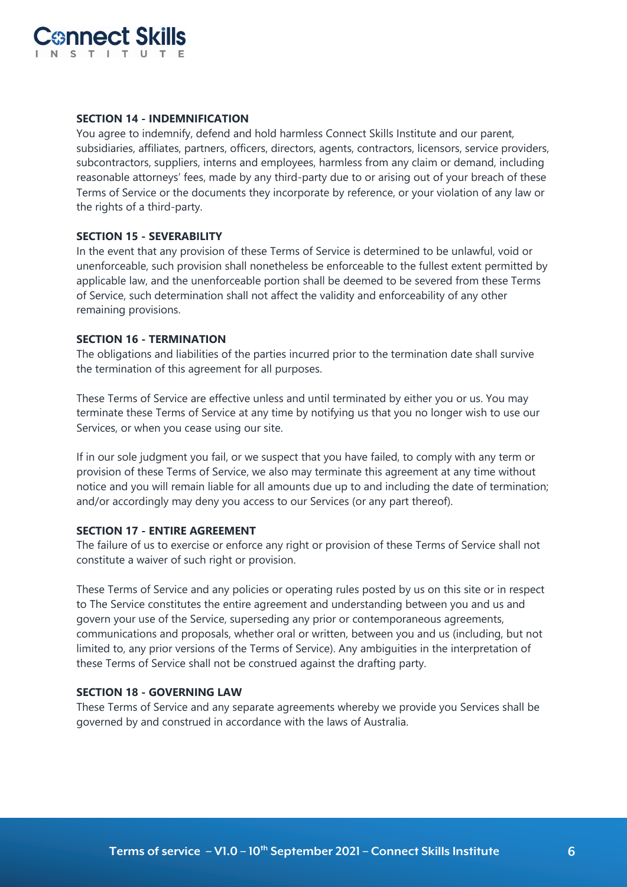

#### **SECTION 14 - INDEMNIFICATION**

You agree to indemnify, defend and hold harmless Connect Skills Institute and our parent, subsidiaries, affiliates, partners, officers, directors, agents, contractors, licensors, service providers, subcontractors, suppliers, interns and employees, harmless from any claim or demand, including reasonable attorneys' fees, made by any third-party due to or arising out of your breach of these Terms of Service or the documents they incorporate by reference, or your violation of any law or the rights of a third-party.

# **SECTION 15 - SEVERABILITY**

In the event that any provision of these Terms of Service is determined to be unlawful, void or unenforceable, such provision shall nonetheless be enforceable to the fullest extent permitted by applicable law, and the unenforceable portion shall be deemed to be severed from these Terms of Service, such determination shall not affect the validity and enforceability of any other remaining provisions.

## **SECTION 16 - TERMINATION**

The obligations and liabilities of the parties incurred prior to the termination date shall survive the termination of this agreement for all purposes.

These Terms of Service are effective unless and until terminated by either you or us. You may terminate these Terms of Service at any time by notifying us that you no longer wish to use our Services, or when you cease using our site.

If in our sole judgment you fail, or we suspect that you have failed, to comply with any term or provision of these Terms of Service, we also may terminate this agreement at any time without notice and you will remain liable for all amounts due up to and including the date of termination; and/or accordingly may deny you access to our Services (or any part thereof).

## **SECTION 17 - ENTIRE AGREEMENT**

The failure of us to exercise or enforce any right or provision of these Terms of Service shall not constitute a waiver of such right or provision.

These Terms of Service and any policies or operating rules posted by us on this site or in respect to The Service constitutes the entire agreement and understanding between you and us and govern your use of the Service, superseding any prior or contemporaneous agreements, communications and proposals, whether oral or written, between you and us (including, but not limited to, any prior versions of the Terms of Service). Any ambiguities in the interpretation of these Terms of Service shall not be construed against the drafting party.

#### **SECTION 18 - GOVERNING LAW**

These Terms of Service and any separate agreements whereby we provide you Services shall be governed by and construed in accordance with the laws of Australia.